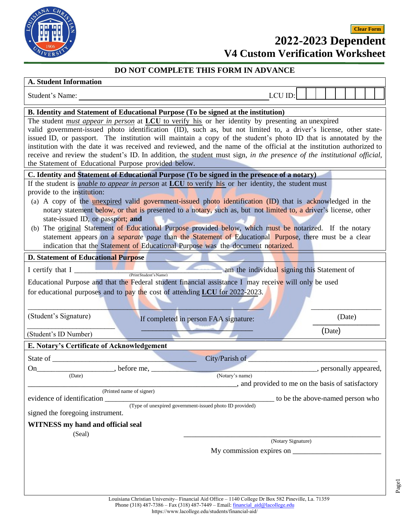

## **2022-2023 Dependent V4 Custom Verification Worksheet Clear Form**

## **DO NOT COMPLETE THIS FORM IN ADVANCE**

## **A. Student Information**

| А. әшиеш пшогшаноп                                                                                                      |                                                    |  |        |  |        |                         |  |
|-------------------------------------------------------------------------------------------------------------------------|----------------------------------------------------|--|--------|--|--------|-------------------------|--|
| Student's Name:                                                                                                         | LCU ID:                                            |  |        |  |        |                         |  |
| <b>B.</b> Identity and Statement of Educational Purpose (To be signed at the institution)                               |                                                    |  |        |  |        |                         |  |
| The student <i>must appear in person</i> at LCU to verify his or her identity by presenting an unexpired                |                                                    |  |        |  |        |                         |  |
| valid government-issued photo identification (ID), such as, but not limited to, a driver's license, other state-        |                                                    |  |        |  |        |                         |  |
| issued ID, or passport. The institution will maintain a copy of the student's photo ID that is annotated by the         |                                                    |  |        |  |        |                         |  |
| institution with the date it was received and reviewed, and the name of the official at the institution authorized to   |                                                    |  |        |  |        |                         |  |
| receive and review the student's ID. In addition, the student must sign, in the presence of the institutional official, |                                                    |  |        |  |        |                         |  |
| the Statement of Educational Purpose provided below.                                                                    |                                                    |  |        |  |        |                         |  |
| C. Identity and Statement of Educational Purpose (To be signed in the presence of a notary)                             |                                                    |  |        |  |        |                         |  |
| If the student is <i>unable to appear in person</i> at LCU to verify his or her identity, the student must              |                                                    |  |        |  |        |                         |  |
| provide to the institution:                                                                                             |                                                    |  |        |  |        |                         |  |
| (a) A copy of the <b>unexpired</b> valid government-issued photo identification (ID) that is acknowledged in the        |                                                    |  |        |  |        |                         |  |
| notary statement below, or that is presented to a notary, such as, but not limited to, a driver's license, other        |                                                    |  |        |  |        |                         |  |
| state-issued ID, or passport; and                                                                                       |                                                    |  |        |  |        |                         |  |
| (b) The original Statement of Educational Purpose provided below, which must be notarized. If the notary                |                                                    |  |        |  |        |                         |  |
| statement appears on a <i>separate</i> page than the Statement of Educational Purpose, there must be a clear            |                                                    |  |        |  |        |                         |  |
| indication that the Statement of Educational Purpose was the document notarized.                                        |                                                    |  |        |  |        |                         |  |
| <b>D. Statement of Educational Purpose</b>                                                                              |                                                    |  |        |  |        |                         |  |
|                                                                                                                         |                                                    |  |        |  |        |                         |  |
| I certify that $I_{-}$<br>(Print Student's Name)                                                                        | am the individual signing this Statement of        |  |        |  |        |                         |  |
| Educational Purpose and that the Federal student financial assistance I may receive will only be used                   |                                                    |  |        |  |        |                         |  |
| for educational purposes and to pay the cost of attending LCU for 2022-2023.                                            |                                                    |  |        |  |        |                         |  |
|                                                                                                                         |                                                    |  |        |  |        |                         |  |
|                                                                                                                         |                                                    |  |        |  |        |                         |  |
| (Student's Signature)<br>If completed in person FAA signature:                                                          |                                                    |  |        |  | (Date) |                         |  |
|                                                                                                                         |                                                    |  | (Date) |  |        |                         |  |
| (Student's ID Number)                                                                                                   |                                                    |  |        |  |        |                         |  |
| E. Notary's Certificate of Acknowledgement                                                                              |                                                    |  |        |  |        |                         |  |
| City/Parish of                                                                                                          |                                                    |  |        |  |        |                         |  |
| , before me,<br>On                                                                                                      |                                                    |  |        |  |        | _, personally appeared, |  |
| (Date)                                                                                                                  | (Notary's name)                                    |  |        |  |        |                         |  |
|                                                                                                                         | _, and provided to me on the basis of satisfactory |  |        |  |        |                         |  |
| (Printed name of signer)                                                                                                | to be the above-named person who                   |  |        |  |        |                         |  |
| (Type of unexpired government-issued photo ID provided)                                                                 |                                                    |  |        |  |        |                         |  |
| signed the foregoing instrument.                                                                                        |                                                    |  |        |  |        |                         |  |
| <b>WITNESS</b> my hand and official seal                                                                                |                                                    |  |        |  |        |                         |  |
| (Seal)                                                                                                                  |                                                    |  |        |  |        |                         |  |
|                                                                                                                         | (Notary Signature)                                 |  |        |  |        |                         |  |
|                                                                                                                         |                                                    |  |        |  |        |                         |  |
|                                                                                                                         |                                                    |  |        |  |        |                         |  |
|                                                                                                                         |                                                    |  |        |  |        |                         |  |